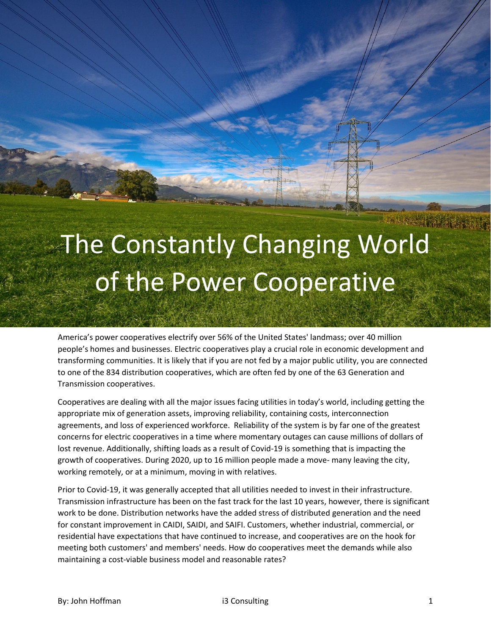## The Constantly Changing World of the Power Cooperative

America's power cooperatives electrify over 56% of the United States' landmass; over 40 million people's homes and businesses. Electric cooperatives play a crucial role in economic development and transforming communities. It is likely that if you are not fed by a major public utility, you are connected to one of the 834 distribution cooperatives, which are often fed by one of the 63 Generation and Transmission cooperatives.

Cooperatives are dealing with all the major issues facing utilities in today's world, including getting the appropriate mix of generation assets, improving reliability, containing costs, interconnection agreements, and loss of experienced workforce. Reliability of the system is by far one of the greatest concerns for electric cooperatives in a time where momentary outages can cause millions of dollars of lost revenue. Additionally, shifting loads as a result of Covid-19 is something that is impacting the growth of cooperatives. During 2020, up to 16 million people made a move- many leaving the city, working remotely, or at a minimum, moving in with relatives.

Prior to Covid-19, it was generally accepted that all utilities needed to invest in their infrastructure. Transmission infrastructure has been on the fast track for the last 10 years, however, there is significant work to be done. Distribution networks have the added stress of distributed generation and the need for constant improvement in CAIDI, SAIDI, and SAIFI. Customers, whether industrial, commercial, or residential have expectations that have continued to increase, and cooperatives are on the hook for meeting both customers' and members' needs. How do cooperatives meet the demands while also maintaining a cost-viable business model and reasonable rates?